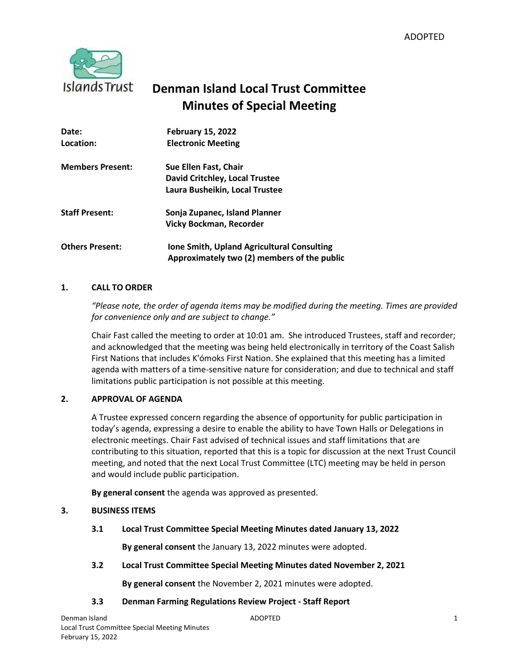

# **Denman Island Local Trust Committee Minutes of Special Meeting**

| Date:                   | <b>February 15, 2022</b>                    |
|-------------------------|---------------------------------------------|
| Location:               | <b>Electronic Meeting</b>                   |
| <b>Members Present:</b> | Sue Ellen Fast, Chair                       |
|                         | <b>David Critchley, Local Trustee</b>       |
|                         | Laura Busheikin, Local Trustee              |
| <b>Staff Present:</b>   | Sonja Zupanec, Island Planner               |
|                         | <b>Vicky Bockman, Recorder</b>              |
| <b>Others Present:</b>  | Ione Smith, Upland Agricultural Consulting  |
|                         | Approximately two (2) members of the public |

# **1. CALL TO ORDER**

*"Please note, the order of agenda items may be modified during the meeting. Times are provided for convenience only and are subject to change."*

Chair Fast called the meeting to order at 10:01 am. She introduced Trustees, staff and recorder; and acknowledged that the meeting was being held electronically in territory of the Coast Salish First Nations that includes K'ómoks First Nation. She explained that this meeting has a limited agenda with matters of a time-sensitive nature for consideration; and due to technical and staff limitations public participation is not possible at this meeting.

# **2. APPROVAL OF AGENDA**

A Trustee expressed concern regarding the absence of opportunity for public participation in today's agenda, expressing a desire to enable the ability to have Town Halls or Delegations in electronic meetings. Chair Fast advised of technical issues and staff limitations that are contributing to this situation, reported that this is a topic for discussion at the next Trust Council meeting, and noted that the next Local Trust Committee (LTC) meeting may be held in person and would include public participation.

**By general consent** the agenda was approved as presented.

# **3. BUSINESS ITEMS**

**3.1 Local Trust Committee Special Meeting Minutes dated January 13, 2022**

**By general consent** the January 13, 2022 minutes were adopted.

**3.2 Local Trust Committee Special Meeting Minutes dated November 2, 2021** 

**By general consent** the November 2, 2021 minutes were adopted.

# **3.3 Denman Farming Regulations Review Project - Staff Report**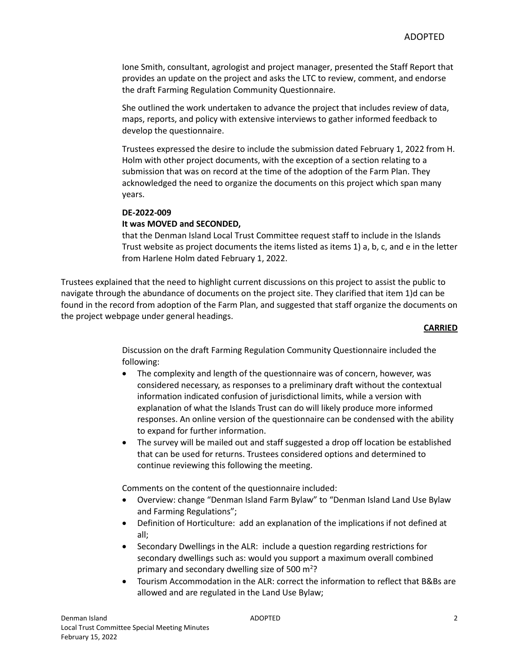Ione Smith, consultant, agrologist and project manager, presented the Staff Report that provides an update on the project and asks the LTC to review, comment, and endorse the draft Farming Regulation Community Questionnaire.

She outlined the work undertaken to advance the project that includes review of data, maps, reports, and policy with extensive interviews to gather informed feedback to develop the questionnaire.

Trustees expressed the desire to include the submission dated February 1, 2022 from H. Holm with other project documents, with the exception of a section relating to a submission that was on record at the time of the adoption of the Farm Plan. They acknowledged the need to organize the documents on this project which span many years.

#### **DE-2022-009**

## **It was MOVED and SECONDED,**

that the Denman Island Local Trust Committee request staff to include in the Islands Trust website as project documents the items listed as items 1) a, b, c, and e in the letter from Harlene Holm dated February 1, 2022.

Trustees explained that the need to highlight current discussions on this project to assist the public to navigate through the abundance of documents on the project site. They clarified that item 1)d can be found in the record from adoption of the Farm Plan, and suggested that staff organize the documents on the project webpage under general headings.

#### **CARRIED**

Discussion on the draft Farming Regulation Community Questionnaire included the following:

- The complexity and length of the questionnaire was of concern, however, was considered necessary, as responses to a preliminary draft without the contextual information indicated confusion of jurisdictional limits, while a version with explanation of what the Islands Trust can do will likely produce more informed responses. An online version of the questionnaire can be condensed with the ability to expand for further information.
- The survey will be mailed out and staff suggested a drop off location be established that can be used for returns. Trustees considered options and determined to continue reviewing this following the meeting.

Comments on the content of the questionnaire included:

- Overview: change "Denman Island Farm Bylaw" to "Denman Island Land Use Bylaw and Farming Regulations";
- Definition of Horticulture: add an explanation of the implications if not defined at all;
- Secondary Dwellings in the ALR: include a question regarding restrictions for secondary dwellings such as: would you support a maximum overall combined primary and secondary dwelling size of 500 m<sup>2</sup>?
- Tourism Accommodation in the ALR: correct the information to reflect that B&Bs are allowed and are regulated in the Land Use Bylaw;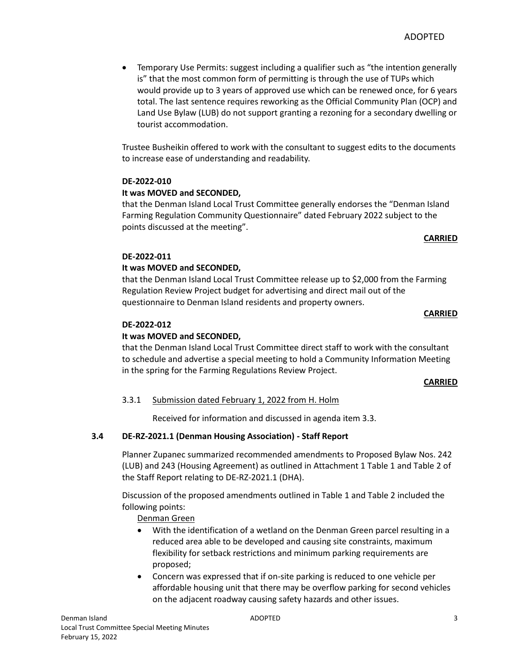Temporary Use Permits: suggest including a qualifier such as "the intention generally is" that the most common form of permitting is through the use of TUPs which would provide up to 3 years of approved use which can be renewed once, for 6 years total. The last sentence requires reworking as the Official Community Plan (OCP) and Land Use Bylaw (LUB) do not support granting a rezoning for a secondary dwelling or tourist accommodation.

Trustee Busheikin offered to work with the consultant to suggest edits to the documents to increase ease of understanding and readability.

# **DE-2022-010**

# **It was MOVED and SECONDED,**

that the Denman Island Local Trust Committee generally endorses the "Denman Island Farming Regulation Community Questionnaire" dated February 2022 subject to the points discussed at the meeting".

## **CARRIED**

# **DE-2022-011**

# **It was MOVED and SECONDED,**

that the Denman Island Local Trust Committee release up to \$2,000 from the Farming Regulation Review Project budget for advertising and direct mail out of the questionnaire to Denman Island residents and property owners.

## **CARRIED**

# **DE-2022-012**

# **It was MOVED and SECONDED,**

that the Denman Island Local Trust Committee direct staff to work with the consultant to schedule and advertise a special meeting to hold a Community Information Meeting in the spring for the Farming Regulations Review Project.

#### **CARRIED**

# 3.3.1 Submission dated February 1, 2022 from H. Holm

Received for information and discussed in agenda item 3.3.

# **3.4 DE-RZ-2021.1 (Denman Housing Association) - Staff Report**

Planner Zupanec summarized recommended amendments to Proposed Bylaw Nos. 242 (LUB) and 243 (Housing Agreement) as outlined in Attachment 1 Table 1 and Table 2 of the Staff Report relating to DE-RZ-2021.1 (DHA).

Discussion of the proposed amendments outlined in Table 1 and Table 2 included the following points:

Denman Green

- With the identification of a wetland on the Denman Green parcel resulting in a reduced area able to be developed and causing site constraints, maximum flexibility for setback restrictions and minimum parking requirements are proposed;
- Concern was expressed that if on-site parking is reduced to one vehicle per affordable housing unit that there may be overflow parking for second vehicles on the adjacent roadway causing safety hazards and other issues.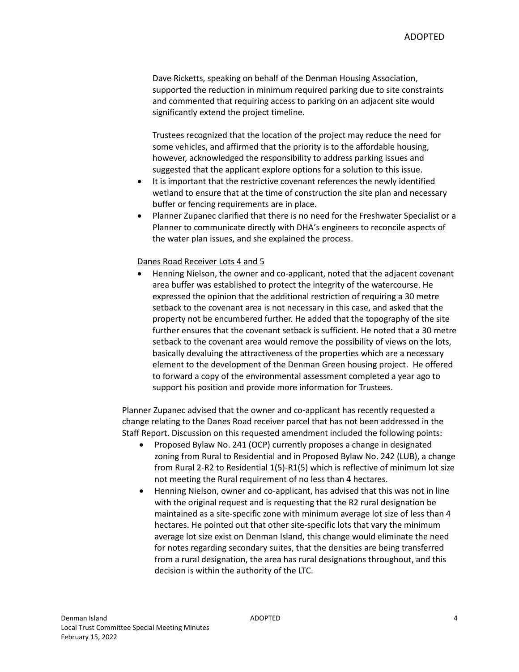Dave Ricketts, speaking on behalf of the Denman Housing Association, supported the reduction in minimum required parking due to site constraints and commented that requiring access to parking on an adjacent site would significantly extend the project timeline.

Trustees recognized that the location of the project may reduce the need for some vehicles, and affirmed that the priority is to the affordable housing, however, acknowledged the responsibility to address parking issues and suggested that the applicant explore options for a solution to this issue.

- It is important that the restrictive covenant references the newly identified wetland to ensure that at the time of construction the site plan and necessary buffer or fencing requirements are in place.
- Planner Zupanec clarified that there is no need for the Freshwater Specialist or a Planner to communicate directly with DHA's engineers to reconcile aspects of the water plan issues, and she explained the process.

#### Danes Road Receiver Lots 4 and 5

 Henning Nielson, the owner and co-applicant, noted that the adjacent covenant area buffer was established to protect the integrity of the watercourse. He expressed the opinion that the additional restriction of requiring a 30 metre setback to the covenant area is not necessary in this case, and asked that the property not be encumbered further. He added that the topography of the site further ensures that the covenant setback is sufficient. He noted that a 30 metre setback to the covenant area would remove the possibility of views on the lots, basically devaluing the attractiveness of the properties which are a necessary element to the development of the Denman Green housing project. He offered to forward a copy of the environmental assessment completed a year ago to support his position and provide more information for Trustees.

Planner Zupanec advised that the owner and co-applicant has recently requested a change relating to the Danes Road receiver parcel that has not been addressed in the Staff Report. Discussion on this requested amendment included the following points:

- Proposed Bylaw No. 241 (OCP) currently proposes a change in designated zoning from Rural to Residential and in Proposed Bylaw No. 242 (LUB), a change from Rural 2-R2 to Residential 1(5)-R1(5) which is reflective of minimum lot size not meeting the Rural requirement of no less than 4 hectares.
- Henning Nielson, owner and co-applicant, has advised that this was not in line with the original request and is requesting that the R2 rural designation be maintained as a site-specific zone with minimum average lot size of less than 4 hectares. He pointed out that other site-specific lots that vary the minimum average lot size exist on Denman Island, this change would eliminate the need for notes regarding secondary suites, that the densities are being transferred from a rural designation, the area has rural designations throughout, and this decision is within the authority of the LTC.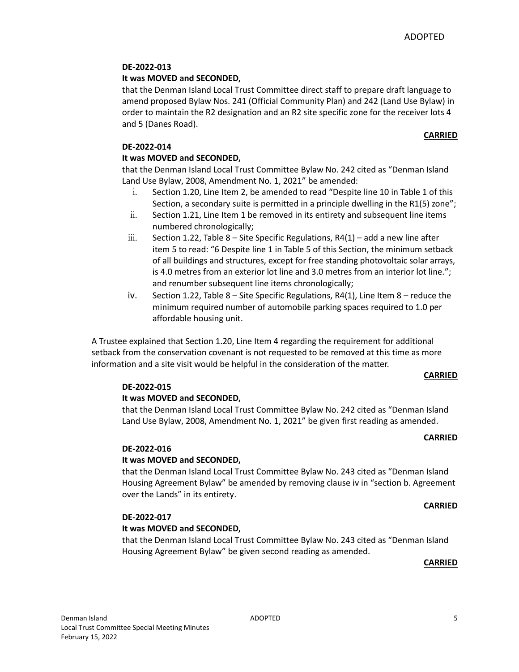# **DE-2022-013**

## **It was MOVED and SECONDED,**

that the Denman Island Local Trust Committee direct staff to prepare draft language to amend proposed Bylaw Nos. 241 (Official Community Plan) and 242 (Land Use Bylaw) in order to maintain the R2 designation and an R2 site specific zone for the receiver lots 4 and 5 (Danes Road).

# **CARRIED**

## **DE-2022-014**

## **It was MOVED and SECONDED,**

that the Denman Island Local Trust Committee Bylaw No. 242 cited as "Denman Island Land Use Bylaw, 2008, Amendment No. 1, 2021" be amended:

- i. Section 1.20, Line Item 2, be amended to read "Despite line 10 in Table 1 of this Section, a secondary suite is permitted in a principle dwelling in the R1(5) zone";
- ii. Section 1.21, Line Item 1 be removed in its entirety and subsequent line items numbered chronologically;
- $iii.$  Section 1.22, Table 8 Site Specific Regulations, R4(1) add a new line after item 5 to read: "6 Despite line 1 in Table 5 of this Section, the minimum setback of all buildings and structures, except for free standing photovoltaic solar arrays, is 4.0 metres from an exterior lot line and 3.0 metres from an interior lot line."; and renumber subsequent line items chronologically;
- iv. Section 1.22, Table  $8 -$  Site Specific Regulations, R4(1), Line Item  $8 -$  reduce the minimum required number of automobile parking spaces required to 1.0 per affordable housing unit.

A Trustee explained that Section 1.20, Line Item 4 regarding the requirement for additional setback from the conservation covenant is not requested to be removed at this time as more information and a site visit would be helpful in the consideration of the matter.

#### **CARRIED**

#### **DE-2022-015**

#### **It was MOVED and SECONDED,**

that the Denman Island Local Trust Committee Bylaw No. 242 cited as "Denman Island Land Use Bylaw, 2008, Amendment No. 1, 2021" be given first reading as amended.

#### **CARRIED**

## **DE-2022-016**

# **It was MOVED and SECONDED,**

that the Denman Island Local Trust Committee Bylaw No. 243 cited as "Denman Island Housing Agreement Bylaw" be amended by removing clause iv in "section b. Agreement over the Lands" in its entirety.

#### **CARRIED**

#### **DE-2022-017**

#### **It was MOVED and SECONDED,**

that the Denman Island Local Trust Committee Bylaw No. 243 cited as "Denman Island Housing Agreement Bylaw" be given second reading as amended.

#### **CARRIED**